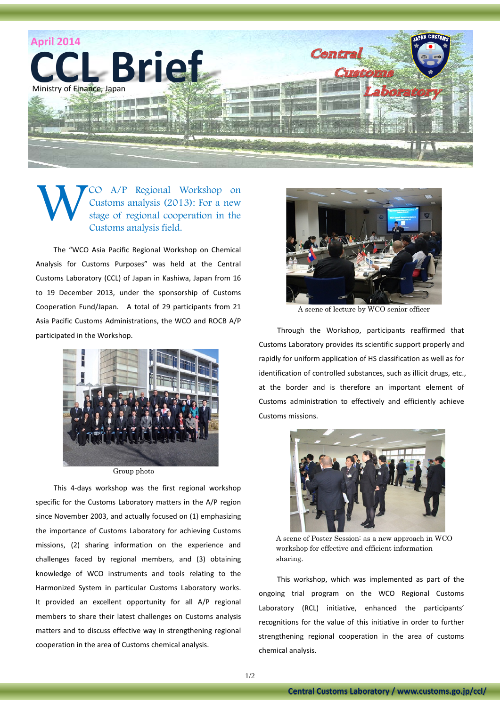

A/P Regional Workshop on Customs analysis (2013): For a new stage of regional cooperation in the Customs analysis field. W

The "WCO Asia Pacific Regional Workshop on Chemical Analysis for Customs Purposes" was held at the Central Customs Laboratory (CCL) of Japan in Kashiwa, Japan from 16 to 19 December 2013, under the sponsorship of Customs Cooperation Fund/Japan. A total of 29 participants from 21 Asia Pacific Customs Administrations, the WCO and ROCB A/P participated in the Workshop.



Group photo

This 4-days workshop was the first regional workshop specific for the Customs Laboratory matters in the A/P region since November 2003, and actually focused on (1) emphasizing the importance of Customs Laboratory for achieving Customs missions, (2) sharing information on the experience and challenges faced by regional members, and (3) obtaining knowledge of WCO instruments and tools relating to the Harmonized System in particular Customs Laboratory works. It provided an excellent opportunity for all A/P regional members to share their latest challenges on Customs analysis matters and to discuss effective way in strengthening regional cooperation in the area of Customs chemical analysis.



A scene of lecture by WCO senior officer

Through the Workshop, participants reaffirmed that Customs Laboratory provides its scientific support properly and rapidly for uniform application of HS classification as well as for identification of controlled substances, such as illicit drugs, etc., at the border and is therefore an important element of Customs administration to effectively and efficiently achieve Customs missions.



A scene of Poster Session: as a new approach in WCO workshop for effective and efficient information sharing.

This workshop, which was implemented as part of the ongoing trial program on the WCO Regional Customs Laboratory (RCL) initiative, enhanced the participants' recognitions for the value of this initiative in order to further strengthening regional cooperation in the area of customs chemical analysis.